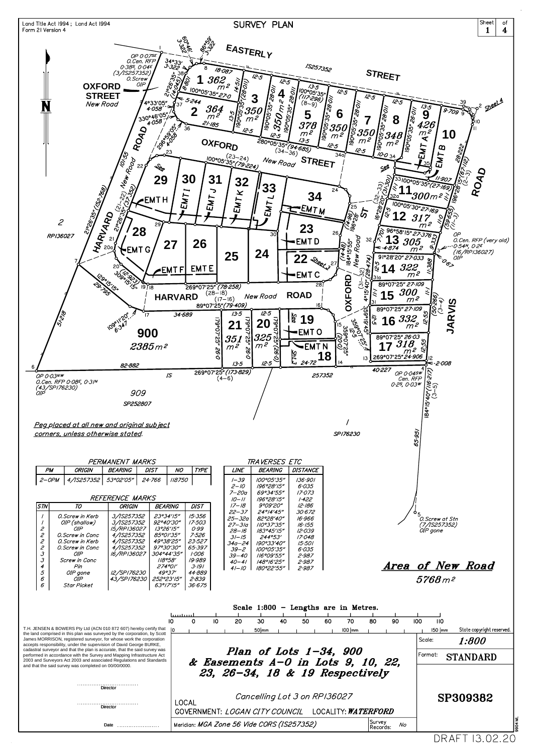

| 274°01′<br>Pin<br>4<br>49°37'<br>5<br><i>12/SP176230</i><br>OIP gone<br>252°23'15"<br>6<br>43/SP176230<br>OIP<br>6<br>63°17'15"<br>Star Picket                                                                                                                                                                                                                                                                                       | 3.191<br>180°22′55″  <br>2.987<br>$41 - 10$<br>44.889<br>2.839<br>36·675                                                       |                | <i>Area of New Road</i><br>$5768 m^2$                    |
|--------------------------------------------------------------------------------------------------------------------------------------------------------------------------------------------------------------------------------------------------------------------------------------------------------------------------------------------------------------------------------------------------------------------------------------|--------------------------------------------------------------------------------------------------------------------------------|----------------|----------------------------------------------------------|
| T.H. JENSEN & BOWERS Pty Ltd (ACN 010 872 607) hereby certify that<br>the land comprised in this plan was surveyed by the corporation, by Scott                                                                                                                                                                                                                                                                                      | Scale $1:800$ – Lengths are in Metres.<br>ليستسينا<br>20<br>30<br>10<br>40<br>50<br>60<br>80<br>70<br>$50$ mm<br>$100$ $\mu$ m | 90             | 100<br>110<br>State copyright reserved.<br>$150 \mid mm$ |
| James MORRISON, registered surveyor, for whose work the corporation<br>accepts responsibility, under the supervision of David George BURKE,<br>cadastral surveyor and that the plan is accurate, that the said survey was<br>performed in accordance with the Survey and Mapping Infrastructure Act<br>2003 and Surveyors Act 2003 and associated Regulations and Standards<br>and that the said survey was completed on 00/00/0000. | Plan of Lots $1-34$ , 900<br>& Easements $A-0$ in Lots 9, 10, 22,<br>23, 26-34, 18 & 19 Respectively                           |                | Scale:<br>1:800<br> Format:  <br><b>STANDARD</b>         |
| Director                                                                                                                                                                                                                                                                                                                                                                                                                             |                                                                                                                                |                |                                                          |
| Director                                                                                                                                                                                                                                                                                                                                                                                                                             | Cancelling Lot 3 on RP136027<br><b>LOCAL</b><br>LOCALITY: <i>WATERFORD</i><br>GOVERNMENT: <i>LOGAN CITY COUNCIL</i>            |                | SP309382                                                 |
| Date                                                                                                                                                                                                                                                                                                                                                                                                                                 | Survey<br>Meridian: MGA Zone 56 Vide CORS (IS257352)                                                                           | No<br>Records: |                                                          |

DRAFT 13.02.20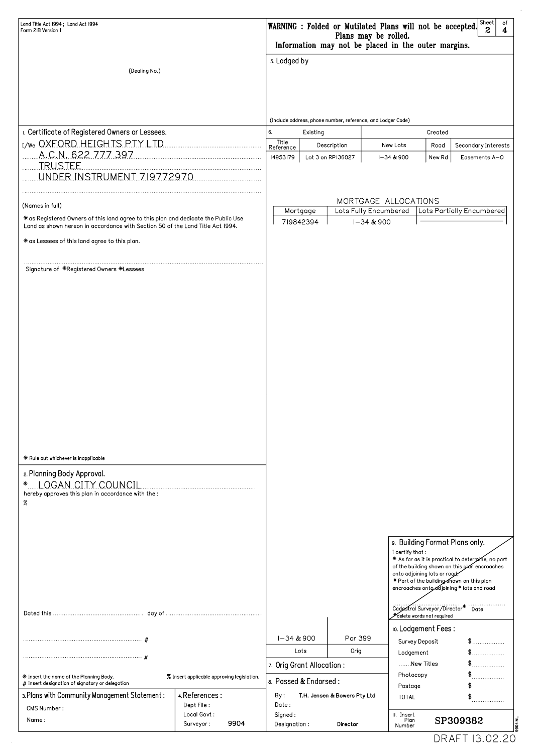| Land Title Act 1994; Land Act 1994<br>Form 2IB Version I                                                                                                             | Sheet<br>of<br>WARNING : Folded or Mutilated Plans will not be accepted.<br>$\mathbf{2}$<br>$\overline{\mathbf{4}}$<br>Plans may be rolled.<br>Information may not be placed in the outer margins. |           |                   |                  |                                                   |                                                                                                                                      |  |
|----------------------------------------------------------------------------------------------------------------------------------------------------------------------|----------------------------------------------------------------------------------------------------------------------------------------------------------------------------------------------------|-----------|-------------------|------------------|---------------------------------------------------|--------------------------------------------------------------------------------------------------------------------------------------|--|
| (Dealing No.)                                                                                                                                                        | 5. Lodged by                                                                                                                                                                                       |           |                   |                  |                                                   |                                                                                                                                      |  |
|                                                                                                                                                                      | (Include address, phone number, reference, and Lodger Code)                                                                                                                                        |           |                   |                  |                                                   |                                                                                                                                      |  |
| L. Certificate of Registered Owners or Lessees.                                                                                                                      | 6.                                                                                                                                                                                                 | Existing  |                   |                  | Created                                           |                                                                                                                                      |  |
| I/We OXFORD HEIGHTS PTY LTD                                                                                                                                          | Title<br>Reference                                                                                                                                                                                 |           | Description       | New Lots         | Road                                              | Secondary Interests                                                                                                                  |  |
| A.C.N. 622 777 397<br><u>TRUSTEE.</u><br>UNDER INSTRUMENT 719772970                                                                                                  | 14953179                                                                                                                                                                                           |           | Lot 3 on RP136027 | $1 - 34 & 900$   | New Rd                                            | Easements A-O                                                                                                                        |  |
|                                                                                                                                                                      | MORTGAGE ALLOCATIONS                                                                                                                                                                               |           |                   |                  |                                                   |                                                                                                                                      |  |
| (Names in full)                                                                                                                                                      | Mortgage                                                                                                                                                                                           |           |                   |                  | Lots Fully Encumbered   Lots Partially Encumbered |                                                                                                                                      |  |
| * as Registered Owners of this land agree to this plan and dedicate the Public Use<br>Land as shown hereon in accordance with Section 50 of the Land Title Act 1994. |                                                                                                                                                                                                    | 719842394 |                   | $1 - 34 & 900$   |                                                   |                                                                                                                                      |  |
| * as Lessees of this land agree to this plan.                                                                                                                        |                                                                                                                                                                                                    |           |                   |                  |                                                   |                                                                                                                                      |  |
| Signature of *Registered Owners *Lessees                                                                                                                             |                                                                                                                                                                                                    |           |                   |                  |                                                   |                                                                                                                                      |  |
| * Rule out whichever is inapplicable<br>2. Planning Body Approval.<br>* LOGAN CITY COUNCIL<br>hereby approves this plan in accordance with the:<br>$\%$              |                                                                                                                                                                                                    |           |                   | I certify that : |                                                   | 9. Building Format Plans only.<br>* As far as it is practical to determine, no part<br>of the building shown on this plan encroaches |  |

|                                                                                                                                            |                                                 |                                     |            | onto adjoining lots or road<br>* Part of the building shown on this plan<br>encroaches onto djoining * lots and road<br>Cadastral Surveyor/Director*<br>delete words not required | Date     |
|--------------------------------------------------------------------------------------------------------------------------------------------|-------------------------------------------------|-------------------------------------|------------|-----------------------------------------------------------------------------------------------------------------------------------------------------------------------------------|----------|
|                                                                                                                                            |                                                 | I-34 & 900                          | Por 399    | 10. Lodgement Fees:                                                                                                                                                               |          |
|                                                                                                                                            |                                                 |                                     |            | Survey Deposit                                                                                                                                                                    |          |
|                                                                                                                                            |                                                 | Lots                                | Orig       | Lodgement                                                                                                                                                                         |          |
|                                                                                                                                            | 7. Orig Grant Allocation:                       |                                     | New Titles |                                                                                                                                                                                   |          |
| $*$ Insert the name of the Planning Body.<br>% Insert applicable approving legislation.<br># Insert designation of signatory or delegation |                                                 | 8. Passed & Endorsed:               |            | Photocopy<br>Postage                                                                                                                                                              | .        |
| 3. Plans with Community Management Statement:                                                                                              | 4. References:                                  | By:<br>T.H. Jensen & Bowers Pty Ltd |            | <b>TOTAL</b>                                                                                                                                                                      | .        |
|                                                                                                                                            | Dept File :<br>Local Govt:<br>9904<br>Surveyor: | Date :                              |            |                                                                                                                                                                                   | .        |
| CMS Number:<br>Name:                                                                                                                       |                                                 | Signed:<br>Designation:             | Director   | II. Insert<br>Plan<br>Number                                                                                                                                                      | SP309382 |

DRAFT 13.02.20

 $\hat{\mathcal{A}}$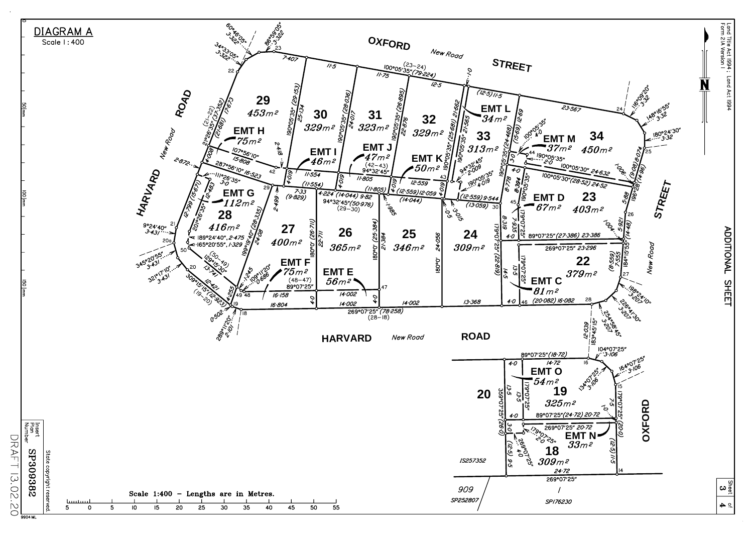